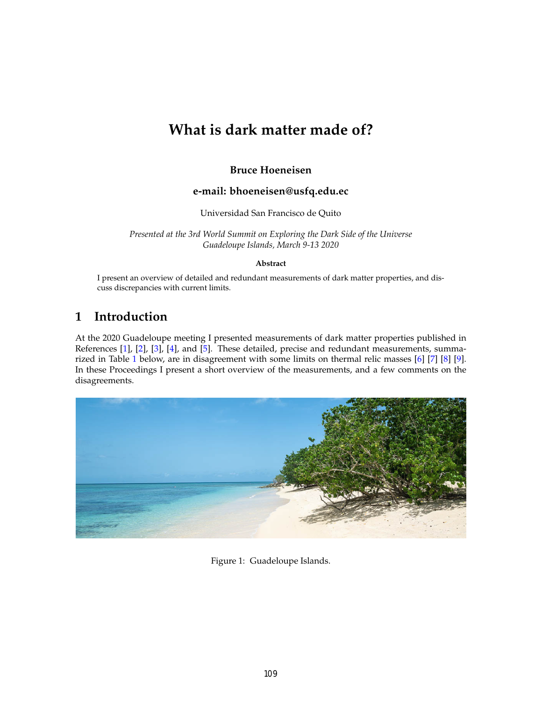# **What is dark matter made of?**

#### **Bruce Hoeneisen**

#### **e-mail: bhoeneisen@usfq.edu.ec**

Universidad San Francisco de Quito

*Presented at the 3rd World Summit on Exploring the Dark Side of the Universe Guadeloupe Islands, March 9-13 2020*

#### **Abstract**

I present an overview of detailed and redundant measurements of dark matter properties, and discuss discrepancies with current limits.

# **1 Introduction**

At the 2020 Guadeloupe meeting I presented measurements of dark matter properties published in References [\[1\]](#page-7-0), [\[2\]](#page-8-0), [\[3\]](#page-8-1), [\[4\]](#page-8-2), and [\[5\]](#page-8-3). These detailed, precise and redundant measurements, summarized in Table [1](#page-1-0) below, are in disagreement with some limits on thermal relic masses [\[6\]](#page-8-4) [\[7\]](#page-8-5) [\[8\]](#page-8-6) [\[9\]](#page-8-7). In these Proceedings I present a short overview of the measurements, and a few comments on the disagreements.



Figure 1: Guadeloupe Islands.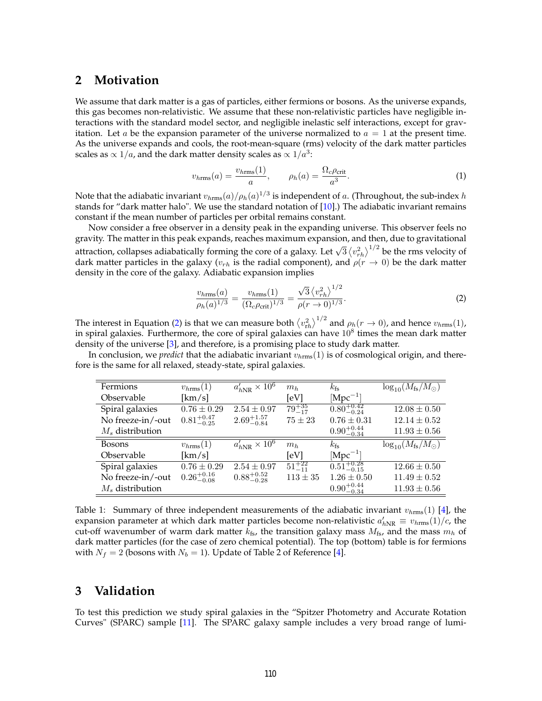#### **2 Motivation**

We assume that dark matter is a gas of particles, either fermions or bosons. As the universe expands, this gas becomes non-relativistic. We assume that these non-relativistic particles have negligible interactions with the standard model sector, and negligible inelastic self interactions, except for gravitation. Let a be the expansion parameter of the universe normalized to  $a = 1$  at the present time. As the universe expands and cools, the root-mean-square (rms) velocity of the dark matter particles scales as  $\propto 1/a$ , and the dark matter density scales as  $\propto 1/a^3$ :

$$
v_{h\text{rms}}(a) = \frac{v_{h\text{rms}}(1)}{a}, \qquad \rho_h(a) = \frac{\Omega_c \rho_{\text{crit}}}{a^3}.
$$
 (1)

Note that the adiabatic invariant  $v_{h{\rm rms}}(a)/\rho_h(a)^{1/3}$  is independent of  $a$ . (Throughout, the sub-index  $h$ stands for "dark matter halo". We use the standard notation of [\[10\]](#page-8-8).) The adiabatic invariant remains constant if the mean number of particles per orbital remains constant.

Now consider a free observer in a density peak in the expanding universe. This observer feels no gravity. The matter in this peak expands, reaches maximum expansion, and then, due to gravitational attraction, collapses adiabatically forming the core of a galaxy. Let  $\sqrt{3} (v_{rh}^2)^{1/2}$  be the rms velocity of dark matter particles in the galaxy ( $v_{rh}$  is the radial component), and  $\rho(r \to 0)$  be the dark matter density in the core of the galaxy. Adiabatic expansion implies

<span id="page-1-1"></span>
$$
\frac{v_{h\text{rms}}(a)}{\rho_h(a)^{1/3}} = \frac{v_{h\text{rms}}(1)}{(\Omega_c \rho_{\text{crit}})^{1/3}} = \frac{\sqrt{3} \left\langle v_{rh}^2 \right\rangle^{1/2}}{\rho(r \to 0)^{1/3}}.
$$
\n(2)

The interest in Equation [\(2\)](#page-1-1) is that we can measure both  $\left< v_{\text{rh}}^2 \right>^{1/2}$  and  $\rho_h(r \to 0)$ , and hence  $v_{h\text{rms}}(1)$ , in spiral galaxies. Furthermore, the core of spiral galaxies can have  $10^8$  times the mean dark matter density of the universe [\[3\]](#page-8-1), and therefore, is a promising place to study dark matter.

In conclusion, we *predict* that the adiabatic invariant  $v_{h\text{rms}}(1)$  is of cosmological origin, and therefore is the same for all relaxed, steady-state, spiral galaxies.

<span id="page-1-0"></span>

| Fermions           | $v_{\rm hrms}(1)$      | $a'_{h{\rm NR}}\times 10^6$ | $m_h$            | $k_{\text{fs}}$        | $\log_{10}(M_{\rm fs}/M_{\odot})$ |
|--------------------|------------------------|-----------------------------|------------------|------------------------|-----------------------------------|
| Observable         | [km/s]                 |                             | [eV]             | $[{\rm Mpc}^{-1}]$     |                                   |
| Spiral galaxies    | $0.76 \pm 0.29$        | $2.54 \pm 0.97$             | $79^{+35}_{-17}$ | $0.80^{+0.42}_{-0.24}$ | $12.08 \pm 0.50$                  |
| No freeze-in/-out  | $0.81^{+0.47}_{-0.25}$ | $2.69^{+1.57}_{-0.84}$      | $75 \pm 23$      | $0.76 \pm 0.31$        | $12.14 \pm 0.52$                  |
| $M_s$ distribution |                        |                             |                  | $0.90^{+0.44}_{-0.34}$ | $11.93 \pm 0.56$                  |
| <b>Bosons</b>      | $v_{\rm hrms}(1)$      | $a'_{h{\rm NR}}\times 10^6$ | $m_h$            | $k_{\text{fs}}$        | $\log_{10}(M_{\rm fs}/M_{\odot})$ |
| Observable         | [km/s]                 |                             | [eV]             | $[Mpc^{-1}]$           |                                   |
| Spiral galaxies    | $0.76 \pm 0.29$        | $2.54 \pm 0.97$             | $51^{+22}_{-11}$ | $0.51^{+0.28}_{-0.15}$ | $12.66 \pm 0.50$                  |
| No freeze-in/-out  | $0.26_{-0.08}^{+0.16}$ | $0.88^{+0.52}_{-0.28}$      | $113 \pm 35$     | $1.26 \pm 0.50$        | $11.49 \pm 0.52$                  |
| $M_s$ distribution |                        |                             |                  | $0.90^{+0.44}_{-0.34}$ | $11.93 \pm 0.56$                  |

Table 1: Summary of three independent measurements of the adiabatic invariant  $v_{\text{hrms}}(1)$  [\[4\]](#page-8-2), the expansion parameter at which dark matter particles become non-relativistic  $a'_{hNR} \equiv v_{hrms}(1)/c$ , the cut-off wavenumber of warm dark matter  $k_{fs}$ , the transition galaxy mass  $M_{fs}$ , and the mass  $m_h$  of dark matter particles (for the case of zero chemical potential). The top (bottom) table is for fermions with  $N_f = 2$  (bosons with  $N_b = 1$ ). Update of Table 2 of Reference [\[4\]](#page-8-2).

#### **3 Validation**

To test this prediction we study spiral galaxies in the "Spitzer Photometry and Accurate Rotation Curves" (SPARC) sample [\[11\]](#page-8-9). The SPARC galaxy sample includes a very broad range of lumi-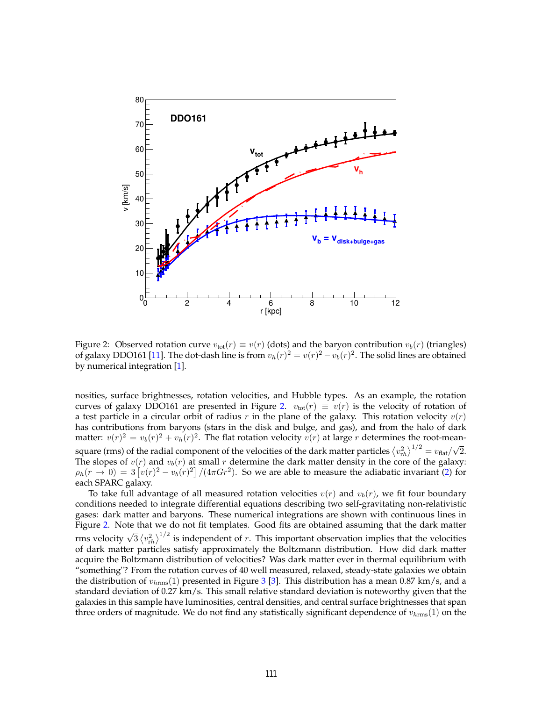<span id="page-2-0"></span>

Figure 2: Observed rotation curve  $v_{\text{tot}}(r) \equiv v(r)$  (dots) and the baryon contribution  $v_b(r)$  (triangles) of galaxy DDO161 [\[11\]](#page-8-9). The dot-dash line is from  $v_h(r)^2 = v(r)^2 - v_b(r)^2$ . The solid lines are obtained by numerical integration [\[1\]](#page-7-0).

nosities, surface brightnesses, rotation velocities, and Hubble types. As an example, the rotation curves of galaxy DDO161 are presented in Figure [2.](#page-2-0)  $v_{\text{tot}}(r) \equiv v(r)$  is the velocity of rotation of a test particle in a circular orbit of radius r in the plane of the galaxy. This rotation velocity  $v(r)$ has contributions from baryons (stars in the disk and bulge, and gas), and from the halo of dark matter:  $v(r)^2 = v_b(r)^2 + v_h(r)^2$ . The flat rotation velocity  $v(r)$  at large r determines the root-meansquare (rms) of the radial component of the velocities of the dark matter particles  $\left\langle v_{\text{rh}}^2 \right\rangle^{1/2} = v_{\text{flat}}/2$ √ 2. The slopes of  $v(r)$  and  $v<sub>b</sub>(r)$  at small r determine the dark matter density in the core of the galaxy:  $\rho_h(r \to 0) = 3 \left[ v(r)^2 - v_b(r)^2 \right] / (4 \pi G r^2)$ . So we are able to measure the adiabatic invariant [\(2\)](#page-1-1) for each SPARC galaxy.

To take full advantage of all measured rotation velocities  $v(r)$  and  $v<sub>b</sub>(r)$ , we fit four boundary conditions needed to integrate differential equations describing two self-gravitating non-relativistic gases: dark matter and baryons. These numerical integrations are shown with continuous lines in Figure [2.](#page-2-0) Note that we do not fit templates. Good fits are obtained assuming that the dark matter right 2. There that we do not in templates. Good ms are obtained assuming that the value matter rms velocity  $\sqrt{3} \left\langle v_{rh}^2 \right\rangle^{1/2}$  is independent of r. This important observation implies that the velocities of dark matter particles satisfy approximately the Boltzmann distribution. How did dark matter acquire the Boltzmann distribution of velocities? Was dark matter ever in thermal equilibrium with "something"? From the rotation curves of 40 well measured, relaxed, steady-state galaxies we obtain the distribution of  $v_{h\text{rms}}(1)$  presented in Figure [3](#page-3-0) [\[3\]](#page-8-1). This distribution has a mean 0.87 km/s, and a standard deviation of 0.27 km/s. This small relative standard deviation is noteworthy given that the galaxies in this sample have luminosities, central densities, and central surface brightnesses that span three orders of magnitude. We do not find any statistically significant dependence of  $v_{\text{hrms}}(1)$  on the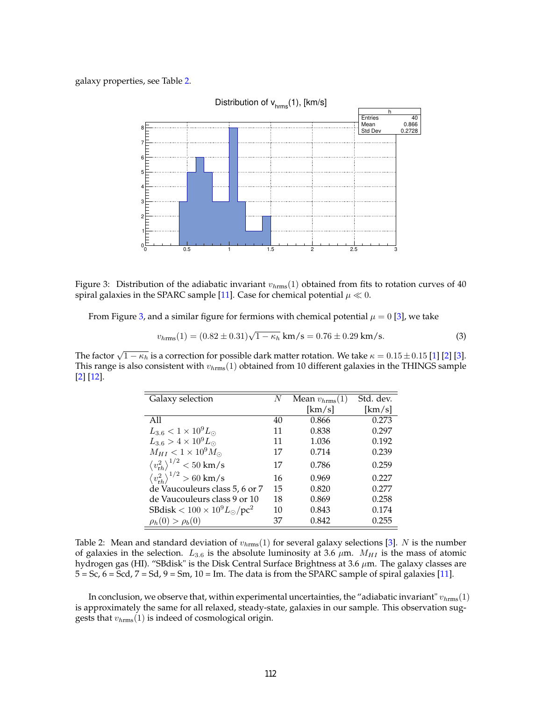<span id="page-3-0"></span>

Figure 3: Distribution of the adiabatic invariant  $v_{\text{hrms}}(1)$  obtained from fits to rotation curves of 40 spiral galaxies in the SPARC sample [\[11\]](#page-8-9). Case for chemical potential  $\mu \ll 0$ .

From Figure [3,](#page-3-0) and a similar figure for fermions with chemical potential  $\mu = 0$  [\[3\]](#page-8-1), we take

<span id="page-3-2"></span>
$$
v_{\text{hrms}}(1) = (0.82 \pm 0.31)\sqrt{1 - \kappa_h} \text{ km/s} = 0.76 \pm 0.29 \text{ km/s}.
$$
 (3)

<span id="page-3-1"></span>The factor  $\sqrt{1-\kappa_h}$  is a correction for possible dark matter rotation. We take  $\kappa=0.15\pm0.15$  [\[1\]](#page-7-0) [\[2\]](#page-8-0) [\[3\]](#page-8-1). This range is also consistent with  $v_{\text{hrms}}(1)$  obtained from 10 different galaxies in the THINGS sample [\[2\]](#page-8-0) [\[12\]](#page-8-10).

| Galaxy selection                                          |    | Mean $v_{\text{hrms}}(1)$ | Std. dev. |
|-----------------------------------------------------------|----|---------------------------|-----------|
|                                                           |    | [km/s]                    | [km/s]    |
| All                                                       | 40 | 0.866                     | 0.273     |
| $L_{3.6} < 1 \times 10^9 L_{\odot}$                       | 11 | 0.838                     | 0.297     |
| $L_{3.6} > 4 \times 10^9 L_{\odot}$                       | 11 | 1.036                     | 0.192     |
| $M_{HI} < 1 \times 10^9 M_{\odot}$                        | 17 | 0.714                     | 0.239     |
| $\langle v_{rh}^2 \rangle^{1/2} < 50$ km/s                | 17 | 0.786                     | 0.259     |
| $\langle v_{\text{rh}}^2 \rangle^{1/2} > 60 \text{ km/s}$ | 16 | 0.969                     | 0.227     |
| de Vaucouleurs class 5, 6 or 7                            | 15 | 0.820                     | 0.277     |
| de Vaucouleurs class 9 or 10                              | 18 | 0.869                     | 0.258     |
| $\text{SBdisk} < 100 \times 10^9 L_{\odot}/\text{pc}^2$   | 10 | 0.843                     | 0.174     |
| $\rho_h(0) > \rho_b(0)$                                   | 37 | 0.842                     | 0.255     |

Table 2: Mean and standard deviation of  $v_{hrms}(1)$  for several galaxy selections [\[3\]](#page-8-1). N is the number of galaxies in the selection.  $L_{3.6}$  is the absolute luminosity at 3.6  $\mu$ m.  $M_{HI}$  is the mass of atomic hydrogen gas (HI). "SBdisk" is the Disk Central Surface Brightness at 3.6  $\mu$ m. The galaxy classes are  $5 = Sc$ ,  $6 = Scd$ ,  $7 = Sd$ ,  $9 = Sm$ ,  $10 = Im$ . The data is from the SPARC sample of spiral galaxies [\[11\]](#page-8-9).

In conclusion, we observe that, within experimental uncertainties, the "adiabatic invariant"  $v_{h\text{rms}}(1)$ is approximately the same for all relaxed, steady-state, galaxies in our sample. This observation suggests that  $v_{\text{hrms}}(1)$  is indeed of cosmological origin.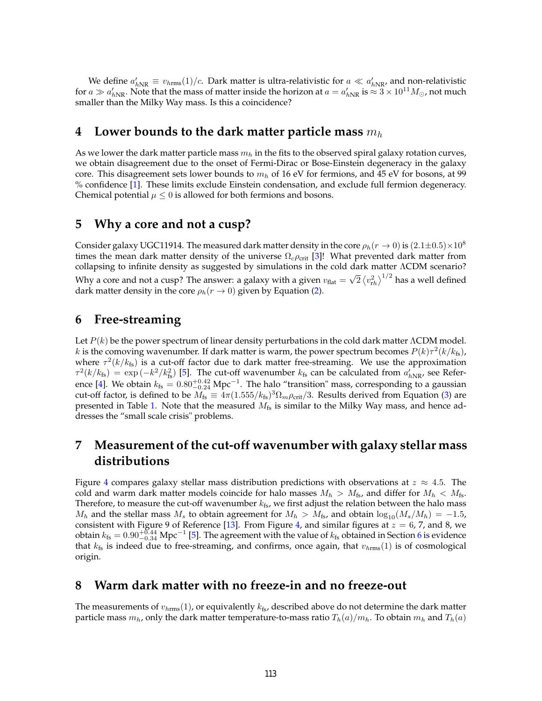We define  $a'_{hNR} \equiv v_{hrms}(1)/c$ . Dark matter is ultra-relativistic for  $a \ll a'_{hNR}$ , and non-relativistic for  $a\gg a'_{hNR}$ . Note that the mass of matter inside the horizon at  $a=a'_{hNR}$  is  $\approx 3\times 10^{11}M_{\odot}$ , not much smaller than the Milky Way mass. Is this a coincidence?

#### <span id="page-4-1"></span>**4** Lower bounds to the dark matter particle mass  $m_h$

As we lower the dark matter particle mass  $m_h$  in the fits to the observed spiral galaxy rotation curves, we obtain disagreement due to the onset of Fermi-Dirac or Bose-Einstein degeneracy in the galaxy core. This disagreement sets lower bounds to  $m_h$  of 16 eV for fermions, and 45 eV for bosons, at 99 % confidence [\[1\]](#page-7-0). These limits exclude Einstein condensation, and exclude full fermion degeneracy. Chemical potential  $\mu \leq 0$  is allowed for both fermions and bosons.

#### **5 Why a core and not a cusp?**

Consider galaxy UGC11914. The measured dark matter density in the core  $\rho_h(r \to 0)$  is  $(2.1 \pm 0.5) \times 10^8$ times the mean dark matter density of the universe  $\Omega_c \rho_{crit}$  [\[3\]](#page-8-1)! What prevented dark matter from collapsing to infinite density as suggested by simulations in the cold dark matter ΛCDM scenario? Why a core and not a cusp? The answer: a galaxy with a given  $v_{\rm flat} =$ √  $\sqrt{2}\left\langle v_{\text{rh}}^{2}\right\rangle ^{1/2}$  has a well defined dark matter density in the core  $\rho_h(r \to 0)$  given by Equation [\(2\)](#page-1-1).

#### <span id="page-4-0"></span>**6 Free-streaming**

Let  $P(k)$  be the power spectrum of linear density perturbations in the cold dark matter  $\Lambda$ CDM model. k is the comoving wavenumber. If dark matter is warm, the power spectrum becomes  $P(k)\tau^2(k/k_{\rm fs})$ , where  $\tau^2(k/k_{\text{fs}})$  is a cut-off factor due to dark matter free-streaming. We use the approximation  $\tau^2(k/k_{\rm fs}) = \exp(-k^2/k_{\rm fs}^2)$  [\[5\]](#page-8-3). The cut-off wavenumber  $k_{\rm fs}$  can be calculated from  $a'_{h\rm NR}$ , see Refer-ence [\[4\]](#page-8-2). We obtain  $k_{fs} = 0.80^{+0.42}_{-0.24}$  Mpc<sup>-1</sup>. The halo "transition" mass, corresponding to a gaussian cut-off factor, is defined to be  $M_{fs} \equiv 4\pi (1.555/k_{fs})^3 \Omega_m \rho_{crit}/3$ . Results derived from Equation [\(3\)](#page-3-2) are presented in Table [1.](#page-1-0) Note that the measured  $M<sub>fs</sub>$  is similar to the Milky Way mass, and hence addresses the "small scale crisis" problems.

# **7 Measurement of the cut-off wavenumber with galaxy stellar mass distributions**

Figure [4](#page-5-0) compares galaxy stellar mass distribution predictions with observations at  $z \approx 4.5$ . The cold and warm dark matter models coincide for halo masses  $M_h > M_{fs}$ , and differ for  $M_h < M_{fs}$ . Therefore, to measure the cut-off wavenumber  $k_{fs}$ , we first adjust the relation between the halo mass  $M_h$  and the stellar mass  $M_s$  to obtain agreement for  $M_h > M_{fs}$ , and obtain  $\log_{10}(M_s/M_h) = -1.5$ , consistent with Figure 9 of Reference [\[13\]](#page-8-11). From Figure [4,](#page-5-0) and similar figures at  $z = 6$ , 7, and 8, we obtain  $k_{fs} = 0.90^{+0.44}_{-0.34}$  Mpc<sup>-1</sup> [\[5\]](#page-8-3). The agreement with the value of  $k_{fs}$  obtained in Section [6](#page-4-0) is evidence that  $k_{fs}$  is indeed due to free-streaming, and confirms, once again, that  $v_{h\text{rms}}(1)$  is of cosmological origin.

## **8 Warm dark matter with no freeze-in and no freeze-out**

The measurements of  $v_{\text{hrms}}(1)$ , or equivalently  $k_{fs}$ , described above do not determine the dark matter particle mass  $m_h$ , only the dark matter temperature-to-mass ratio  $T_h(a)/m_h$ . To obtain  $m_h$  and  $T_h(a)$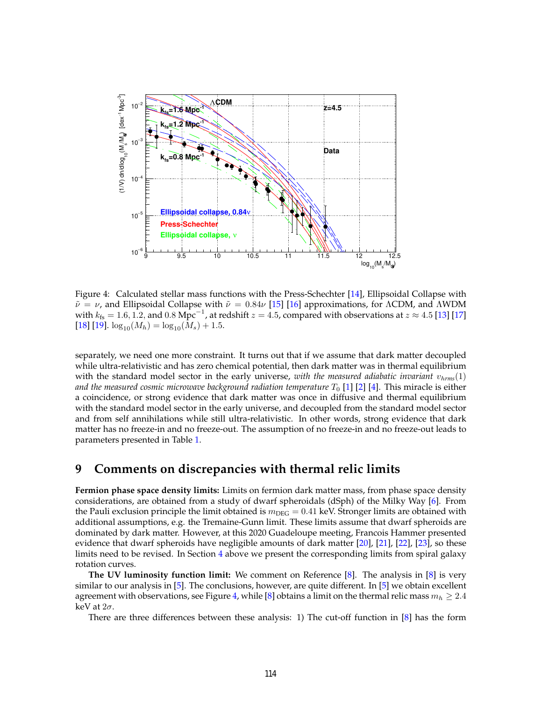<span id="page-5-0"></span>

Figure 4: Calculated stellar mass functions with the Press-Schechter [\[14\]](#page-8-12), Ellipsoidal Collapse with  $\tilde{\nu} = \nu$ , and Ellipsoidal Collapse with  $\tilde{\nu} = 0.84\nu$  [\[15\]](#page-8-13) [\[16\]](#page-8-14) approximations, for ΛCDM, and ΛWDM with  $k_{fs} = 1.6, 1.2,$  and 0.8 Mpc<sup>-1</sup>, at redshift  $z = 4.5$ , compared with observations at  $z \approx 4.5$  [\[13\]](#page-8-11) [\[17\]](#page-8-15) [\[18\]](#page-8-16) [\[19\]](#page-8-17).  $\log_{10}(M_h) = \log_{10}(M_s) + 1.5$ .

separately, we need one more constraint. It turns out that if we assume that dark matter decoupled while ultra-relativistic and has zero chemical potential, then dark matter was in thermal equilibrium with the standard model sector in the early universe, *with the measured adiabatic invariant*  $v_{\text{hrms}}(1)$ *and the measured cosmic microwave background radiation temperature*  $T_0$  [\[1\]](#page-7-0) [\[2\]](#page-8-0) [\[4\]](#page-8-2). This miracle is either a coincidence, or strong evidence that dark matter was once in diffusive and thermal equilibrium with the standard model sector in the early universe, and decoupled from the standard model sector and from self annihilations while still ultra-relativistic. In other words, strong evidence that dark matter has no freeze-in and no freeze-out. The assumption of no freeze-in and no freeze-out leads to parameters presented in Table [1.](#page-1-0)

#### **9 Comments on discrepancies with thermal relic limits**

**Fermion phase space density limits:** Limits on fermion dark matter mass, from phase space density considerations, are obtained from a study of dwarf spheroidals (dSph) of the Milky Way [\[6\]](#page-8-4). From the Pauli exclusion principle the limit obtained is  $m_{\text{DEG}} = 0.41$  keV. Stronger limits are obtained with additional assumptions, e.g. the Tremaine-Gunn limit. These limits assume that dwarf spheroids are dominated by dark matter. However, at this 2020 Guadeloupe meeting, Francois Hammer presented evidence that dwarf spheroids have negligible amounts of dark matter [\[20\]](#page-9-0), [\[21\]](#page-9-1), [\[22\]](#page-9-2), [\[23\]](#page-9-3), so these limits need to be revised. In Section [4](#page-4-1) above we present the corresponding limits from spiral galaxy rotation curves.

**The UV luminosity function limit:** We comment on Reference [\[8\]](#page-8-6). The analysis in [\[8\]](#page-8-6) is very similar to our analysis in [\[5\]](#page-8-3). The conclusions, however, are quite different. In [\[5\]](#page-8-3) we obtain excellent agreement with observations, see Figure [4,](#page-5-0) while [\[8\]](#page-8-6) obtains a limit on the thermal relic mass  $m_h \geq 2.4$ keV at  $2\sigma$ .

There are three differences between these analysis: 1) The cut-off function in [\[8\]](#page-8-6) has the form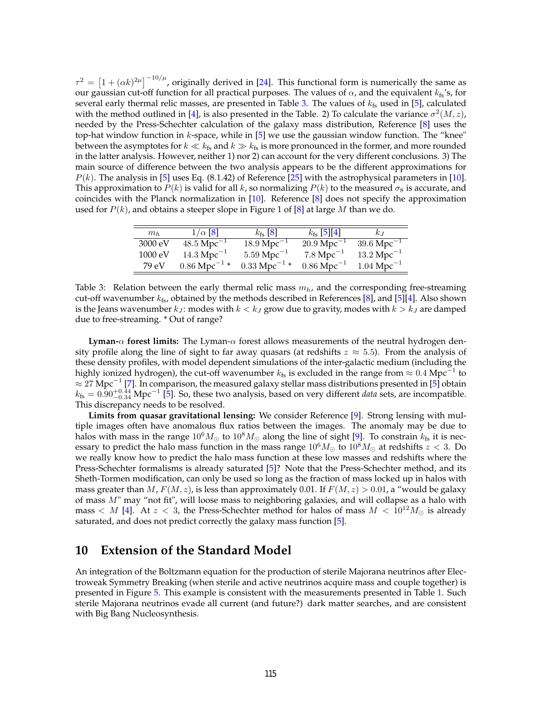$\tau^2 = \left[1 + (\alpha k)^{2\mu}\right]^{-10/\mu}$ , originally derived in [\[24\]](#page-9-4). This functional form is numerically the same as our gaussian cut-off function for all practical purposes. The values of  $\alpha$ , and the equivalent  $k_{fs}$ 's, for several early thermal relic masses, are presented in Table [3.](#page-6-0) The values of  $k_{fs}$  used in [\[5\]](#page-8-3), calculated with the method outlined in [\[4\]](#page-8-2), is also presented in the Table. 2) To calculate the variance  $\sigma^2(M, z)$ , needed by the Press-Schechter calculation of the galaxy mass distribution, Reference [\[8\]](#page-8-6) uses the top-hat window function in  $k$ -space, while in [\[5\]](#page-8-3) we use the gaussian window function. The "knee" between the asymptotes for  $k \ll k_{fs}$  and  $k \gg k_{fs}$  is more pronounced in the former, and more rounded in the latter analysis. However, neither 1) nor 2) can account for the very different conclusions. 3) The main source of difference between the two analysis appears to be the different approximations for  $P(k)$ . The analysis in [\[5\]](#page-8-3) uses Eq. (8.1.42) of Reference [\[25\]](#page-9-5) with the astrophysical parameters in [\[10\]](#page-8-8). This approximation to  $P(k)$  is valid for all k, so normalizing  $P(k)$  to the measured  $\sigma_8$  is accurate, and coincides with the Planck normalization in [\[10\]](#page-8-8). Reference [\[8\]](#page-8-6) does not specify the approximation used for  $P(k)$ , and obtains a steeper slope in Figure 1 of [\[8\]](#page-8-6) at large M than we do.

<span id="page-6-0"></span>

| $m_h$   | $1/\alpha$ [8]            | $k_{\text{fs}}$ [8]        | $k_{fs}$ [5][4]         | $k_I$                   |
|---------|---------------------------|----------------------------|-------------------------|-------------------------|
| 3000 eV | $48.5 \text{ Mpc}^{-1}$   | $18.9 \,\mathrm{Mpc}^{-1}$ | $20.9 \text{ Mpc}^{-1}$ | $39.6 \text{ Mpc}^{-1}$ |
| 1000 eV | $14.3 \text{ Mpc}^{-1}$   | $5.59 \text{ Mpc}^{-1}$    | $7.8 \text{ Mpc}^{-1}$  | $13.2 \text{ Mpc}^{-1}$ |
| 79 eV   | $0.86 \text{ Mpc}^{-1}$ * | $0.33 \text{ Mpc}^{-1}$ *  | $0.86 \text{ Mpc}^{-1}$ | $1.04 \text{ Mpc}^{-1}$ |

Table 3: Relation between the early thermal relic mass  $m_h$ , and the corresponding free-streaming cut-off wavenumber  $k_{fs}$ , obtained by the methods described in References [\[8\]](#page-8-6), and [\[5\]](#page-8-3)[\[4\]](#page-8-2). Also shown is the Jeans wavenumber  $k_J$ : modes with  $k < k_J$  grow due to gravity, modes with  $k > k_J$  are damped due to free-streaming. \* Out of range?

**Lyman-**α **forest limits:** The Lyman-α forest allows measurements of the neutral hydrogen density profile along the line of sight to far away quasars (at redshifts  $z \approx 5.5$ ). From the analysis of these density profiles, with model dependent simulations of the inter-galactic medium (including the highly ionized hydrogen), the cut-off wavenumber  $k_{\text{fs}}$  is excluded in the range from  $\approx 0.4$  Mpc $^{-1}$  to  $\approx$  27 Mpc<sup>-1</sup> [\[7\]](#page-8-5). In comparison, the measured galaxy stellar mass distributions presented in [\[5\]](#page-8-3) obtain  $k_{fs} = 0.90^{+0.44}_{-0.34}$  Mpc<sup>-1</sup> [\[5\]](#page-8-3). So, these two analysis, based on very different *data* sets, are incompatible. This discrepancy needs to be resolved.

**Limits from quasar gravitational lensing:** We consider Reference [\[9\]](#page-8-7). Strong lensing with multiple images often have anomalous flux ratios between the images. The anomaly may be due to halos with mass in the range  $10^6M_{\odot}$  to  $10^8M_{\odot}$  along the line of sight [\[9\]](#page-8-7). To constrain  $k_{\rm fs}$  it is necessary to predict the halo mass function in the mass range  $10^6 M_{\odot}$  to  $10^8 M_{\odot}$  at redshifts  $z < 3$ . Do we really know how to predict the halo mass function at these low masses and redshifts where the Press-Schechter formalisms is already saturated [\[5\]](#page-8-3)? Note that the Press-Schechter method, and its Sheth-Tormen modification, can only be used so long as the fraction of mass locked up in halos with mass greater than M,  $F(M, z)$ , is less than approximately 0.01. If  $F(M, z) > 0.01$ , a "would be galaxy of mass  $M$ " may "not fit", will loose mass to neighboring galaxies, and will collapse as a halo with mass  $\langle M[4]$  $\langle M[4]$ . At  $z \langle 3 \rangle$ , the Press-Schechter method for halos of mass  $M \langle 10^{12} M_{\odot}$  is already saturated, and does not predict correctly the galaxy mass function [\[5\]](#page-8-3).

### **10 Extension of the Standard Model**

An integration of the Boltzmann equation for the production of sterile Majorana neutrinos after Electroweak Symmetry Breaking (when sterile and active neutrinos acquire mass and couple together) is presented in Figure [5.](#page-7-1) This example is consistent with the measurements presented in Table [1.](#page-1-0) Such sterile Majorana neutrinos evade all current (and future?) dark matter searches, and are consistent with Big Bang Nucleosynthesis.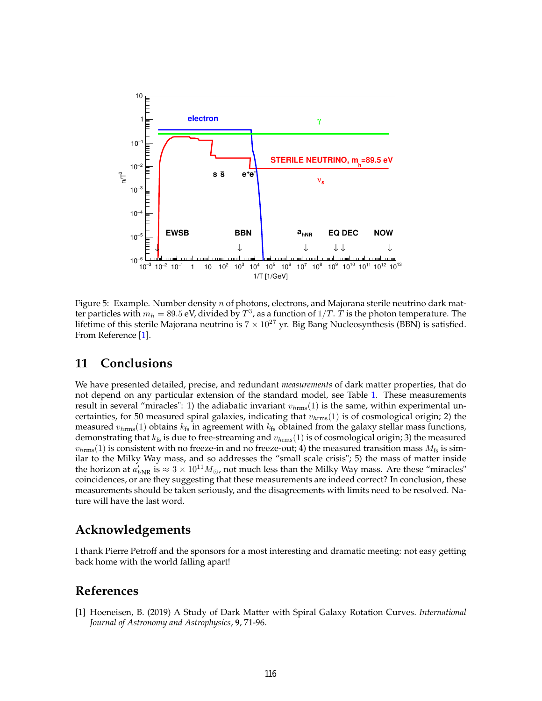<span id="page-7-1"></span>

Figure 5: Example. Number density n of photons, electrons, and Majorana sterile neutrino dark matter particles with  $m_h = 89.5$  eV, divided by  $T^3$ , as a function of  $1/T$ .  $T$  is the photon temperature. The lifetime of this sterile Majorana neutrino is  $7 \times 10^{27}$  yr. Big Bang Nucleosynthesis (BBN) is satisfied. From Reference [\[1\]](#page-7-0).

### **11 Conclusions**

We have presented detailed, precise, and redundant *measurements* of dark matter properties, that do not depend on any particular extension of the standard model, see Table [1.](#page-1-0) These measurements result in several "miracles": 1) the adiabatic invariant  $v_{\text{thms}}(1)$  is the same, within experimental uncertainties, for 50 measured spiral galaxies, indicating that  $v_{\text{hrms}}(1)$  is of cosmological origin; 2) the measured  $v_{\text{hrms}}(1)$  obtains  $k_{\text{fs}}$  in agreement with  $k_{\text{fs}}$  obtained from the galaxy stellar mass functions, demonstrating that  $k_{fs}$  is due to free-streaming and  $v_{hrms}(1)$  is of cosmological origin; 3) the measured  $v_{h,rms}(1)$  is consistent with no freeze-in and no freeze-out; 4) the measured transition mass  $M_{fs}$  is similar to the Milky Way mass, and so addresses the "small scale crisis"; 5) the mass of matter inside the horizon at  $a'_{hNR}$  is  $\approx 3 \times 10^{11} M_{\odot}$ , not much less than the Milky Way mass. Are these "miracles" coincidences, or are they suggesting that these measurements are indeed correct? In conclusion, these measurements should be taken seriously, and the disagreements with limits need to be resolved. Nature will have the last word.

### **Acknowledgements**

I thank Pierre Petroff and the sponsors for a most interesting and dramatic meeting: not easy getting back home with the world falling apart!

# **References**

<span id="page-7-0"></span>[1] Hoeneisen, B. (2019) A Study of Dark Matter with Spiral Galaxy Rotation Curves. *International Journal of Astronomy and Astrophysics*, **9**, 71-96.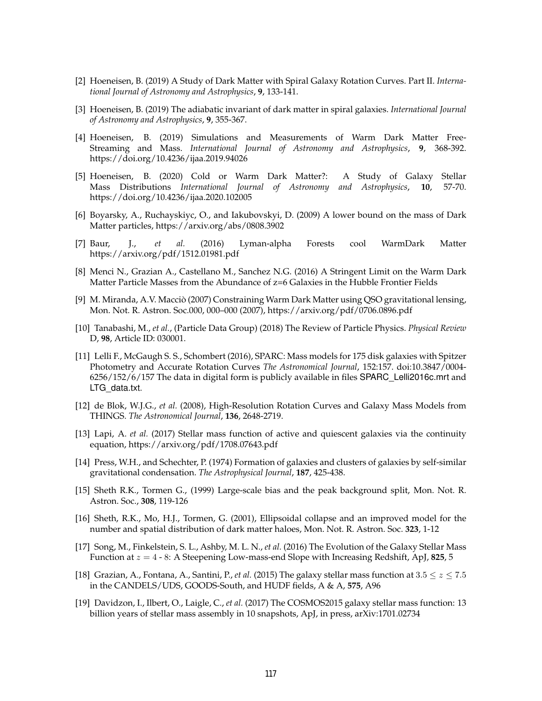- <span id="page-8-0"></span>[2] Hoeneisen, B. (2019) A Study of Dark Matter with Spiral Galaxy Rotation Curves. Part II. *International Journal of Astronomy and Astrophysics*, **9**, 133-141.
- <span id="page-8-1"></span>[3] Hoeneisen, B. (2019) The adiabatic invariant of dark matter in spiral galaxies. *International Journal of Astronomy and Astrophysics*, **9**, 355-367.
- <span id="page-8-2"></span>[4] Hoeneisen, B. (2019) Simulations and Measurements of Warm Dark Matter Free-Streaming and Mass. *International Journal of Astronomy and Astrophysics*, **9**, 368-392. https://doi.org/10.4236/ijaa.2019.94026
- <span id="page-8-3"></span>[5] Hoeneisen, B. (2020) Cold or Warm Dark Matter?: A Study of Galaxy Stellar Mass Distributions *International Journal of Astronomy and Astrophysics*, **10**, 57-70. https://doi.org/10.4236/ijaa.2020.102005
- <span id="page-8-4"></span>[6] Boyarsky, A., Ruchayskiyc, O., and Iakubovskyi, D. (2009) A lower bound on the mass of Dark Matter particles, https://arxiv.org/abs/0808.3902
- <span id="page-8-5"></span>[7] Baur, J., *et al.* (2016) Lyman-alpha Forests cool WarmDark Matter https://arxiv.org/pdf/1512.01981.pdf
- <span id="page-8-6"></span>[8] Menci N., Grazian A., Castellano M., Sanchez N.G. (2016) A Stringent Limit on the Warm Dark Matter Particle Masses from the Abundance of z=6 Galaxies in the Hubble Frontier Fields
- <span id="page-8-7"></span>[9] M. Miranda, A.V. Macciò (2007) Constraining Warm Dark Matter using QSO gravitational lensing, Mon. Not. R. Astron. Soc.000, 000–000 (2007), https://arxiv.org/pdf/0706.0896.pdf
- <span id="page-8-8"></span>[10] Tanabashi, M., *et al.*, (Particle Data Group) (2018) The Review of Particle Physics. *Physical Review* D, **98**, Article ID: 030001.
- <span id="page-8-9"></span>[11] Lelli F., McGaugh S. S., Schombert (2016), SPARC: Mass models for 175 disk galaxies with Spitzer Photometry and Accurate Rotation Curves *The Astronomical Journal*, 152:157. doi:10.3847/0004- 6256/152/6/157 The data in digital form is publicly available in files SPARC\_Lelli2016c.mrt and LTG\_data.txt.
- <span id="page-8-10"></span>[12] de Blok, W.J.G., *et al.* (2008), High-Resolution Rotation Curves and Galaxy Mass Models from THINGS. *The Astronomical Journal*, **136**, 2648-2719.
- <span id="page-8-11"></span>[13] Lapi, A. *et al.* (2017) Stellar mass function of active and quiescent galaxies via the continuity equation, https://arxiv.org/pdf/1708.07643.pdf
- <span id="page-8-12"></span>[14] Press, W.H., and Schechter, P. (1974) Formation of galaxies and clusters of galaxies by self-similar gravitational condensation. *The Astrophysical Journal*, **187**, 425-438.
- <span id="page-8-13"></span>[15] Sheth R.K., Tormen G., (1999) Large-scale bias and the peak background split, Mon. Not. R. Astron. Soc., **308**, 119-126
- <span id="page-8-14"></span>[16] Sheth, R.K., Mo, H.J., Tormen, G. (2001), Ellipsoidal collapse and an improved model for the number and spatial distribution of dark matter haloes, Mon. Not. R. Astron. Soc. **323**, 1-12
- <span id="page-8-15"></span>[17] Song, M., Finkelstein, S. L., Ashby, M. L. N., *et al.* (2016) The Evolution of the Galaxy Stellar Mass Function at z = 4 - 8: A Steepening Low-mass-end Slope with Increasing Redshift, ApJ, **825**, 5
- <span id="page-8-16"></span>[18] Grazian, A., Fontana, A., Santini, P., *et al.* (2015) The galaxy stellar mass function at  $3.5 \le z \le 7.5$ in the CANDELS/UDS, GOODS-South, and HUDF fields, A & A, **575**, A96
- <span id="page-8-17"></span>[19] Davidzon, I., Ilbert, O., Laigle, C., *et al.* (2017) The COSMOS2015 galaxy stellar mass function: 13 billion years of stellar mass assembly in 10 snapshots, ApJ, in press, arXiv:1701.02734